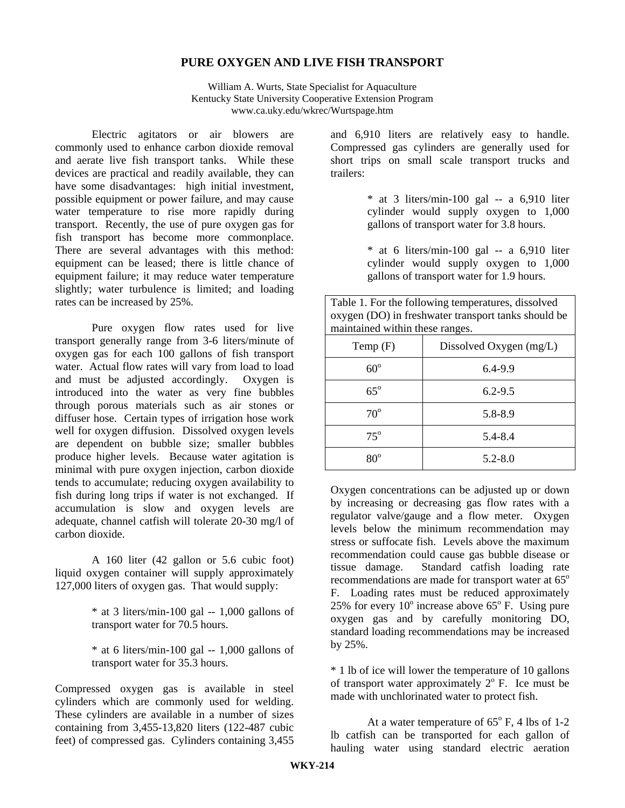## **PURE OXYGEN AND LIVE FISH TRANSPORT**

William A. Wurts, State Specialist for Aquaculture Kentucky State University Cooperative Extension Program www.ca.uky.edu/wkrec/Wurtspage.htm

Electric agitators or air blowers are commonly used to enhance carbon dioxide removal and aerate live fish transport tanks. While these devices are practical and readily available, they can have some disadvantages: high initial investment, possible equipment or power failure, and may cause water temperature to rise more rapidly during transport. Recently, the use of pure oxygen gas for fish transport has become more commonplace. There are several advantages with this method: equipment can be leased; there is little chance of equipment failure; it may reduce water temperature slightly; water turbulence is limited; and loading rates can be increased by 25%.

 Pure oxygen flow rates used for live transport generally range from 3-6 liters/minute of oxygen gas for each 100 gallons of fish transport water. Actual flow rates will vary from load to load and must be adjusted accordingly. Oxygen is introduced into the water as very fine bubbles through porous materials such as air stones or diffuser hose. Certain types of irrigation hose work well for oxygen diffusion. Dissolved oxygen levels are dependent on bubble size; smaller bubbles produce higher levels. Because water agitation is minimal with pure oxygen injection, carbon dioxide tends to accumulate; reducing oxygen availability to fish during long trips if water is not exchanged. If accumulation is slow and oxygen levels are adequate, channel catfish will tolerate 20-30 mg/l of carbon dioxide.

 A 160 liter (42 gallon or 5.6 cubic foot) liquid oxygen container will supply approximately 127,000 liters of oxygen gas. That would supply:

> $*$  at 3 liters/min-100 gal -- 1,000 gallons of transport water for 70.5 hours.

> $*$  at 6 liters/min-100 gal  $-1,000$  gallons of transport water for 35.3 hours.

Compressed oxygen gas is available in steel cylinders which are commonly used for welding. These cylinders are available in a number of sizes containing from 3,455-13,820 liters (122-487 cubic feet) of compressed gas. Cylinders containing 3,455

and 6,910 liters are relatively easy to handle. Compressed gas cylinders are generally used for short trips on small scale transport trucks and trailers:

> $*$  at 3 liters/min-100 gal -- a 6,910 liter cylinder would supply oxygen to 1,000 gallons of transport water for 3.8 hours.

> $*$  at 6 liters/min-100 gal -- a 6,910 liter cylinder would supply oxygen to 1,000 gallons of transport water for 1.9 hours.

| maintained within these ranges. |                         |
|---------------------------------|-------------------------|
| Temp $(F)$                      | Dissolved Oxygen (mg/L) |
| $60^{\circ}$                    | $6.4 - 9.9$             |
| $65^{\circ}$                    | $6.2 - 9.5$             |
| $70^{\circ}$                    | 5.8-8.9                 |
| $75^\circ$                      | 5.4-8.4                 |
|                                 | $5.2 - 8.0$             |

Table 1. For the following temperatures, dissolved oxygen (DO) in freshwater transport tanks should be

Oxygen concentrations can be adjusted up or down by increasing or decreasing gas flow rates with a regulator valve/gauge and a flow meter. Oxygen levels below the minimum recommendation may stress or suffocate fish. Levels above the maximum recommendation could cause gas bubble disease or tissue damage. Standard catfish loading rate recommendations are made for transport water at 65° F. Loading rates must be reduced approximately 25% for every  $10^{\circ}$  increase above 65 $^{\circ}$  F. Using pure oxygen gas and by carefully monitoring DO, standard loading recommendations may be increased by 25%.

\* 1 lb of ice will lower the temperature of 10 gallons of transport water approximately  $2^{\circ}$  F. Ice must be made with unchlorinated water to protect fish.

At a water temperature of  $65^{\circ}$  F, 4 lbs of 1-2 lb catfish can be transported for each gallon of hauling water using standard electric aeration